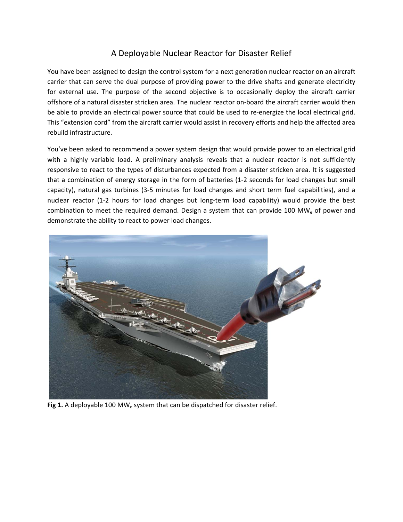## A Deployable Nuclear Reactor for Disaster Relief

You have been assigned to design the control system for a next generation nuclear reactor on an aircraft carrier that can serve the dual purpose of providing power to the drive shafts and generate electricity for external use. The purpose of the second objective is to occasionally deploy the aircraft carrier offshore of a natural disaster stricken area. The nuclear reactor on‐board the aircraft carrier would then be able to provide an electrical power source that could be used to re-energize the local electrical grid. This "extension cord" from the aircraft carrier would assist in recovery efforts and help the affected area rebuild infrastructure.

You've been asked to recommend a power system design that would provide power to an electrical grid with a highly variable load. A preliminary analysis reveals that a nuclear reactor is not sufficiently responsive to react to the types of disturbances expected from a disaster stricken area. It is suggested that a combination of energy storage in the form of batteries (1‐2 seconds for load changes but small capacity), natural gas turbines (3‐5 minutes for load changes and short term fuel capabilities), and a nuclear reactor (1‐2 hours for load changes but long‐term load capability) would provide the best combination to meet the required demand. Design a system that can provide 100 MW $_{\rm e}$  of power and demonstrate the ability to react to power load changes.



Fig 1. A deployable 100 MW<sub>e</sub> system that can be dispatched for disaster relief.